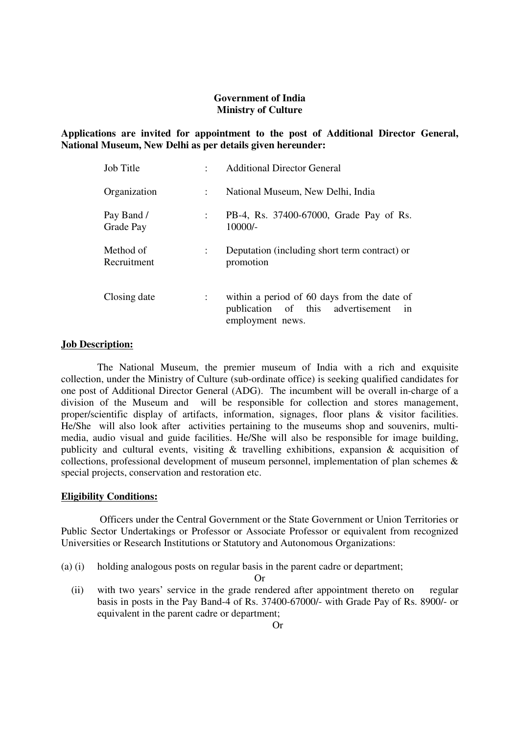# **Government of India Ministry of Culture**

**Applications are invited for appointment to the post of Additional Director General, National Museum, New Delhi as per details given hereunder:** 

| <b>Job Title</b>         |               | <b>Additional Director General</b>                                                                      |  |  |
|--------------------------|---------------|---------------------------------------------------------------------------------------------------------|--|--|
| Organization             | $\mathcal{L}$ | National Museum, New Delhi, India                                                                       |  |  |
| Pay Band /<br>Grade Pay  |               | PB-4, Rs. 37400-67000, Grade Pay of Rs.<br>10000/-                                                      |  |  |
| Method of<br>Recruitment |               | Deputation (including short term contract) or<br>promotion                                              |  |  |
| Closing date             |               | within a period of 60 days from the date of<br>publication of this advertisement in<br>employment news. |  |  |

# **Job Description:**

The National Museum, the premier museum of India with a rich and exquisite collection, under the Ministry of Culture (sub-ordinate office) is seeking qualified candidates for one post of Additional Director General (ADG). The incumbent will be overall in-charge of a division of the Museum and will be responsible for collection and stores management, proper/scientific display of artifacts, information, signages, floor plans & visitor facilities. He/She will also look after activities pertaining to the museums shop and souvenirs, multimedia, audio visual and guide facilities. He/She will also be responsible for image building, publicity and cultural events, visiting & travelling exhibitions, expansion & acquisition of collections, professional development of museum personnel, implementation of plan schemes & special projects, conservation and restoration etc.

#### **Eligibility Conditions:**

 Officers under the Central Government or the State Government or Union Territories or Public Sector Undertakings or Professor or Associate Professor or equivalent from recognized Universities or Research Institutions or Statutory and Autonomous Organizations:

(a) (i) holding analogous posts on regular basis in the parent cadre or department;

Or

 (ii) with two years' service in the grade rendered after appointment thereto on regular basis in posts in the Pay Band-4 of Rs. 37400-67000/- with Grade Pay of Rs. 8900/- or equivalent in the parent cadre or department;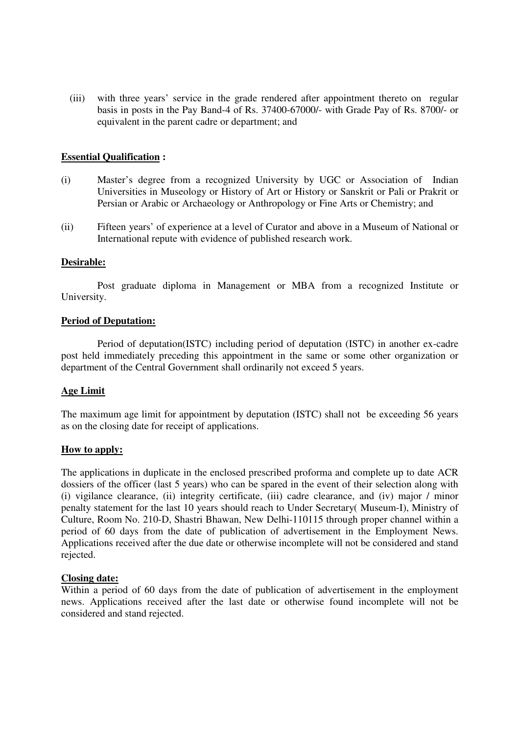(iii) with three years' service in the grade rendered after appointment thereto on regular basis in posts in the Pay Band-4 of Rs. 37400-67000/- with Grade Pay of Rs. 8700/- or equivalent in the parent cadre or department; and

# **Essential Qualification :**

- (i) Master's degree from a recognized University by UGC or Association of Indian Universities in Museology or History of Art or History or Sanskrit or Pali or Prakrit or Persian or Arabic or Archaeology or Anthropology or Fine Arts or Chemistry; and
- (ii) Fifteen years' of experience at a level of Curator and above in a Museum of National or International repute with evidence of published research work.

# **Desirable:**

 Post graduate diploma in Management or MBA from a recognized Institute or University.

#### **Period of Deputation:**

 Period of deputation(ISTC) including period of deputation (ISTC) in another ex-cadre post held immediately preceding this appointment in the same or some other organization or department of the Central Government shall ordinarily not exceed 5 years.

#### **Age Limit**

 The maximum age limit for appointment by deputation (ISTC) shall not be exceeding 56 years as on the closing date for receipt of applications.

#### **How to apply:**

The applications in duplicate in the enclosed prescribed proforma and complete up to date ACR dossiers of the officer (last 5 years) who can be spared in the event of their selection along with (i) vigilance clearance, (ii) integrity certificate, (iii) cadre clearance, and (iv) major / minor penalty statement for the last 10 years should reach to Under Secretary( Museum-I), Ministry of Culture, Room No. 210-D, Shastri Bhawan, New Delhi-110115 through proper channel within a period of 60 days from the date of publication of advertisement in the Employment News. Applications received after the due date or otherwise incomplete will not be considered and stand rejected.

#### **Closing date:**

Within a period of 60 days from the date of publication of advertisement in the employment news. Applications received after the last date or otherwise found incomplete will not be considered and stand rejected.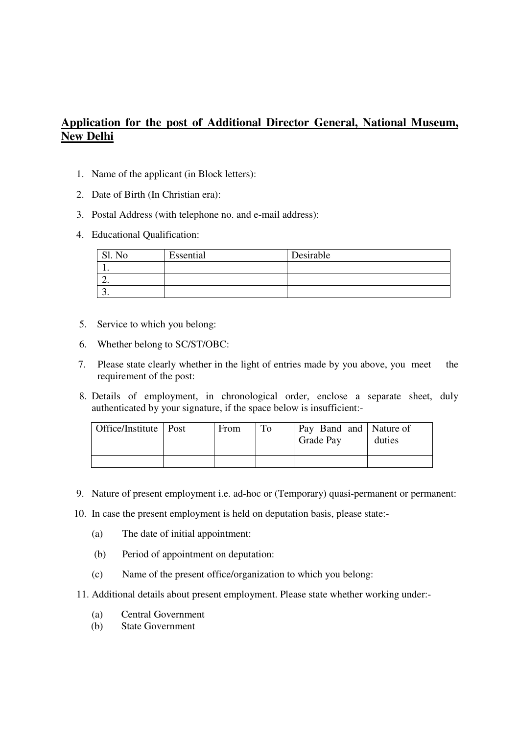# **Application for the post of Additional Director General, National Museum, New Delhi**

- 1. Name of the applicant (in Block letters):
- 2. Date of Birth (In Christian era):
- 3. Postal Address (with telephone no. and e-mail address):
- 4. Educational Qualification:

| No<br>S1 | Essential | Desirable |
|----------|-----------|-----------|
|          |           |           |
| ـ ت      |           |           |
| <u>.</u> |           |           |

- 5. Service to which you belong:
- 6. Whether belong to SC/ST/OBC:
- 7. Please state clearly whether in the light of entries made by you above, you meet the requirement of the post:
- 8. Details of employment, in chronological order, enclose a separate sheet, duly authenticated by your signature, if the space below is insufficient:-

| Office/Institute   Post | From | Pay Band and Nature of<br>Grade Pay | duties |
|-------------------------|------|-------------------------------------|--------|
|                         |      |                                     |        |

- 9. Nature of present employment i.e. ad-hoc or (Temporary) quasi-permanent or permanent:
- 10. In case the present employment is held on deputation basis, please state:-
	- (a) The date of initial appointment:
	- (b) Period of appointment on deputation:
	- (c) Name of the present office/organization to which you belong:
- 11. Additional details about present employment. Please state whether working under:-
	- (a) Central Government
	- (b) State Government